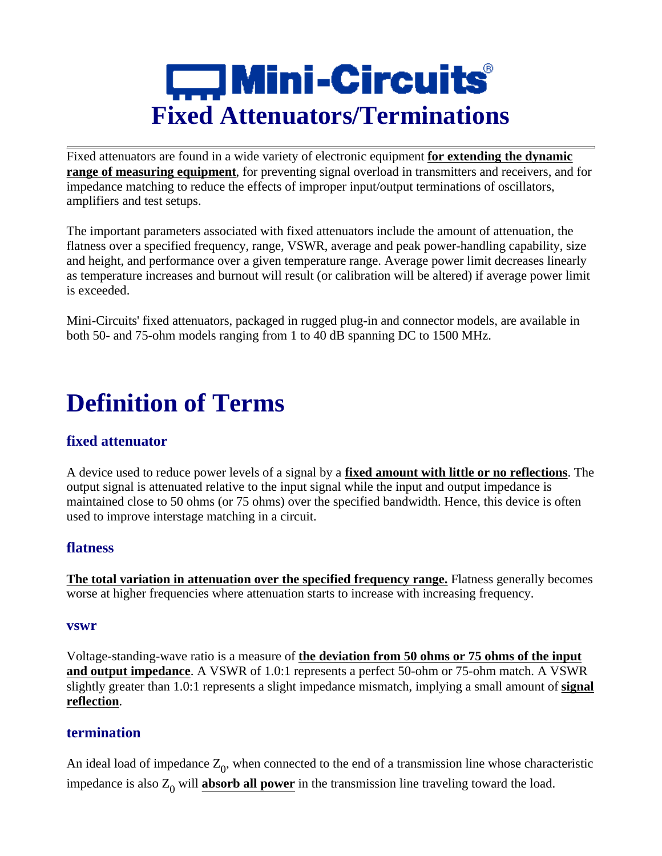

Fixed attenuators are found in a wide variety of electronic equipment **for extending the dynamic range of measuring equipment**, for preventing signal overload in transmitters and receivers, and for impedance matching to reduce the effects of improper input/output terminations of oscillators, amplifiers and test setups.

The important parameters associated with fixed attenuators include the amount of attenuation, the flatness over a specified frequency, range, VSWR, average and peak power-handling capability, size and height, and performance over a given temperature range. Average power limit decreases linearly as temperature increases and burnout will result (or calibration will be altered) if average power limit is exceeded.

Mini-Circuits' fixed attenuators, packaged in rugged plug-in and connector models, are available in both 50- and 75-ohm models ranging from 1 to 40 dB spanning DC to 1500 MHz.

## **Definition of Terms**

## **fixed attenuator**

A device used to reduce power levels of a signal by a **fixed amount with little or no reflections**. The output signal is attenuated relative to the input signal while the input and output impedance is maintained close to 50 ohms (or 75 ohms) over the specified bandwidth. Hence, this device is often used to improve interstage matching in a circuit.

## **flatness**

**The total variation in attenuation over the specified frequency range.** Flatness generally becomes worse at higher frequencies where attenuation starts to increase with increasing frequency.

#### **vswr**

Voltage-standing-wave ratio is a measure of **the deviation from 50 ohms or 75 ohms of the input and output impedance**. A VSWR of 1.0:1 represents a perfect 50-ohm or 75-ohm match. A VSWR slightly greater than 1.0:1 represents a slight impedance mismatch, implying a small amount of **signal reflection**.

#### **termination**

An ideal load of impedance  $Z_0$ , when connected to the end of a transmission line whose characteristic impedance is also  $Z_0$  will **absorb all power** in the transmission line traveling toward the load.